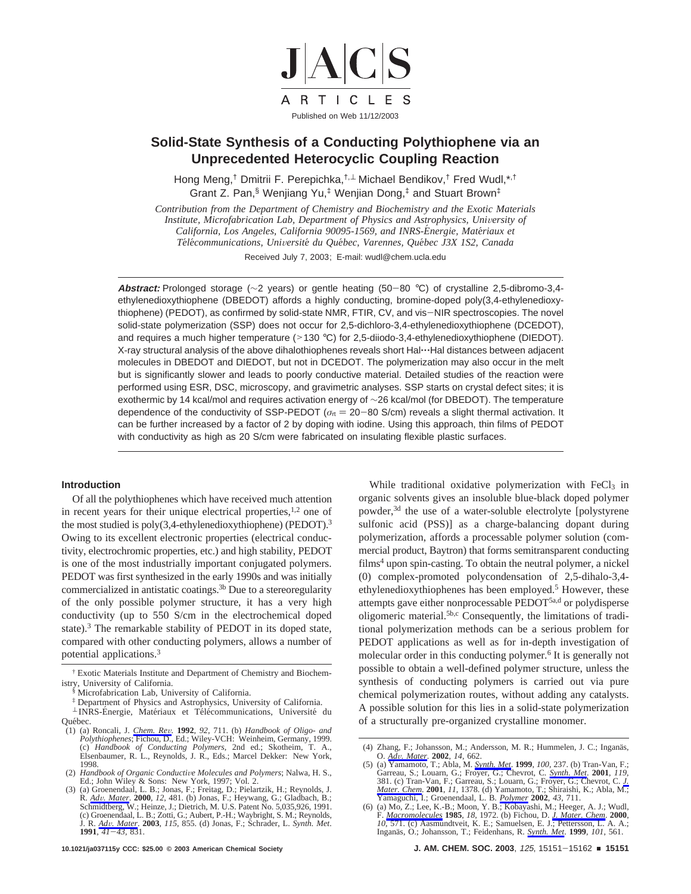

# **Solid-State Synthesis of a Conducting Polythiophene via an Unprecedented Heterocyclic Coupling Reaction**

Hong Meng,<sup>†</sup> Dmitrii F. Perepichka,<sup>†,⊥</sup> Michael Bendikov,<sup>†</sup> Fred Wudl,\*<sup>,†</sup> Grant Z. Pan,§ Wenjiang Yu,‡ Wenjian Dong,‡ and Stuart Brown‡

*Contribution from the Department of Chemistry and Biochemistry and the Exotic Materials Institute, Microfabrication Lab, Department of Physics and Astrophysics, University of California, Los Angeles, California 90095-1569, and INRS-Energie, Matériaux et Te*´*le*´*communications, Uni*V*ersite*´ *du Que*´*bec, Varennes, Que*´*bec J3X 1S2, Canada* Received July 7, 2003; E-mail: wudl@chem.ucla.edu

**Abstract:** Prolonged storage (∼2 years) or gentle heating (50-<sup>80</sup> °C) of crystalline 2,5-dibromo-3,4 ethylenedioxythiophene (DBEDOT) affords a highly conducting, bromine-doped poly(3,4-ethylenedioxythiophene) (PEDOT), as confirmed by solid-state NMR, FTIR, CV, and vis-NIR spectroscopies. The novel solid-state polymerization (SSP) does not occur for 2,5-dichloro-3,4-ethylenedioxythiophene (DCEDOT), and requires a much higher temperature (>130 °C) for 2,5-diiodo-3,4-ethylenedioxythiophene (DIEDOT). X-ray structural analysis of the above dihalothiophenes reveals short Hal $\cdots$ Hal distances between adjacent molecules in DBEDOT and DIEDOT, but not in DCEDOT. The polymerization may also occur in the melt but is significantly slower and leads to poorly conductive material. Detailed studies of the reaction were performed using ESR, DSC, microscopy, and gravimetric analyses. SSP starts on crystal defect sites; it is exothermic by 14 kcal/mol and requires activation energy of ∼26 kcal/mol (for DBEDOT). The temperature dependence of the conductivity of SSP-PEDOT ( $\sigma_{\text{rt}} = 20-80$  S/cm) reveals a slight thermal activation. It can be further increased by a factor of 2 by doping with iodine. Using this approach, thin films of PEDOT with conductivity as high as 20 S/cm were fabricated on insulating flexible plastic surfaces.

#### **Introduction**

Of all the polythiophenes which have received much attention in recent years for their unique electrical properties, $1,2$  one of the most studied is poly(3,4-ethylenedioxythiophene) (PEDOT).<sup>3</sup> Owing to its excellent electronic properties (electrical conductivity, electrochromic properties, etc.) and high stability, PEDOT is one of the most industrially important conjugated polymers. PEDOT was first synthesized in the early 1990s and was initially commercialized in antistatic coatings.<sup>3b</sup> Due to a stereoregularity of the only possible polymer structure, it has a very high conductivity (up to 550 S/cm in the electrochemical doped state).<sup>3</sup> The remarkable stability of PEDOT in its doped state, compared with other conducting polymers, allows a number of potential applications.3

While traditional oxidative polymerization with FeCl3 in organic solvents gives an insoluble blue-black doped polymer powder,3d the use of a water-soluble electrolyte [polystyrene sulfonic acid (PSS)] as a charge-balancing dopant during polymerization, affords a processable polymer solution (commercial product, Baytron) that forms semitransparent conducting films<sup>4</sup> upon spin-casting. To obtain the neutral polymer, a nickel (0) complex-promoted polycondensation of 2,5-dihalo-3,4 ethylenedioxythiophenes has been employed.<sup>5</sup> However, these attempts gave either nonprocessable PEDOT<sup>5a,d</sup> or polydisperse oligomeric material.5b,c Consequently, the limitations of traditional polymerization methods can be a serious problem for PEDOT applications as well as for in-depth investigation of molecular order in this conducting polymer.<sup>6</sup> It is generally not possible to obtain a well-defined polymer structure, unless the synthesis of conducting polymers is carried out via pure chemical polymerization routes, without adding any catalysts. A possible solution for this lies in a solid-state polymerization of a structurally pre-organized crystalline monomer.

<sup>†</sup> Exotic Materials Institute and Department of Chemistry and Biochemistry, University of California.

Microfabrication Lab, University of California.

<sup>‡</sup> Department of Physics and Astrophysics, University of California.

<sup>⊥</sup> INRS-Energie, Matériaux et Télécommunications, Université du Ouébec.

<sup>(1) (</sup>a) Roncali, J. *Chem. Re*V*.* **<sup>1992</sup>**, *<sup>92</sup>*, 711. (b) *Handbook of Oligo- and Polythiophenes*; Fichou, D., Ed.; Wiley-VCH: Weinheim, Germany, 1999. (c) *Handbook of Conducting Polymers*, 2nd ed.; Skotheim, T. A., Elsenbaumer, R. L., Reynolds, J. R., Eds.; Marcel Dekker: New York,

<sup>1998.&</sup>lt;br>
(2) Handbook of Organic Conductive Molecules and Polymers; Nalwa, H. S., (2) *Handbook of Organic Conductive Molecules and Polymers*; Nalwa, H. S., Ed.; John Wiley & Sons: New York, 1997; Vol. 2.<br>(3) (a) Groenendaal, L. B.; Jonas, F.; Freitag, D.; Pielartzik, H.; Reynolds, J.

R. *Adv. Mater*. 2000, 12, 481. (b) Jonas, F.; Heywang, G.; Gladbach, B.; Schmidtberg, W.; Heinze, J.; Dietrich, M. U.S. Patent No. 5,035,926, 1991. (c) Groenendaal, L. B.; Zotti, G.; Aubert, P.-H.; Waybright, S. M.; Reynolds, J. R. *Ad*V*. Mater*. **<sup>2003</sup>**, *<sup>115</sup>*, 855. (d) Jonas, F.; Schrader, L. *Synth. Met*. **<sup>1991</sup>**, *<sup>41</sup>*-*43*, 831.

<sup>(4)</sup> Zhang, F.; Johansson, M.; Andersson, M. R.; Hummelen, J. C.; Inganäs,

O.  $\underline{Adv}$ . *Mater*. **2002**, 14, 662.<br>
(5) (a) Yamamoto, T.; Abla, M. Synth. *Met*. **1999**, 100, 237. (b) Tran-Van, F.; Garreau, S.; Louarn, G.; Chevrot, C. Synth. *Met*. **2001**, 119, 381. (c) Tran-Van, F.; Garreau, S.; *Mater. Chem*. **2001**, *11*, 1378. (d) Yamamoto, T.; Shiraishi, K.; Abla, M.; Yamaguchi, I.; Groenendaal, L. B. *Polymer* **2002**, *43*, 711.

<sup>(6) (</sup>a) Mo, Z.; Lee, K.-B.; Moon, Y. B.; Kobayashi, M.; Heeger, A. J.; Wudl, F. *Macromolecules* 1985, 18, 1972. (b) Fichou, D. *J. Mater. Chem.* 2000, 10, 571. (c) Aasmundtveit, K. E.; Samuelsen, E. J.; Pettersson, L. A. A.; Inganäs, O.; Johansson, T.; Feidenhans, R. *Synth. Met.* 1999, 101, 561.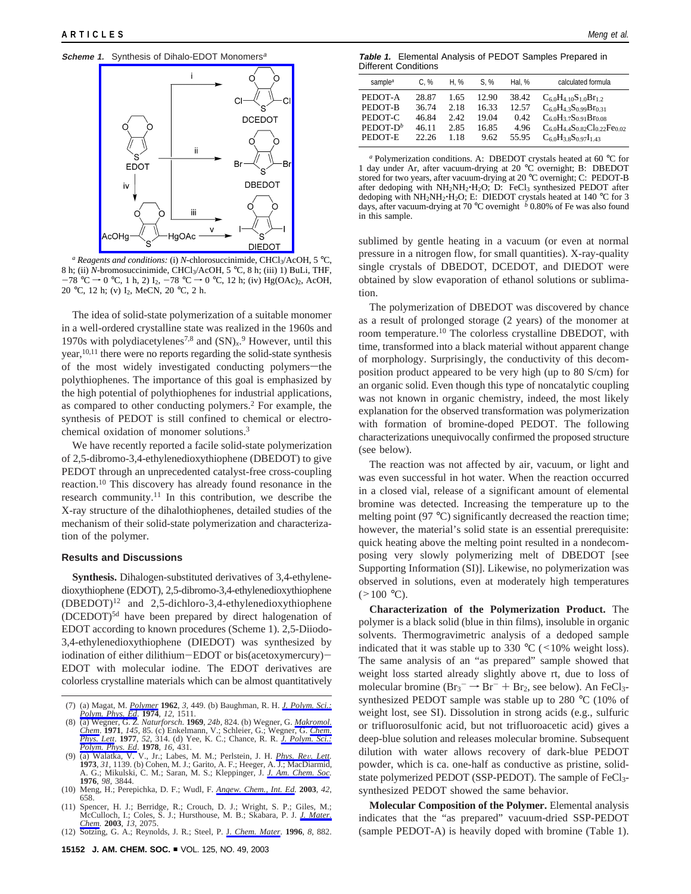**Scheme 1.** Synthesis of Dihalo-EDOT Monomers<sup>a</sup>



*<sup>a</sup> Reagents and conditions:* (i) *N*-chlorosuccinimide, CHCl3/AcOH, 5 °C, 8 h; (ii) *N*-bromosuccinimide, CHCl3/AcOH, 5 °C, 8 h; (iii) 1) BuLi, THF,  $-78$  °C  $\rightarrow$  0 °C, 1 h, 2) I<sub>2</sub>,  $-78$  °C  $\rightarrow$  0 °C, 12 h; (iv) Hg(OAc)<sub>2</sub>, AcOH, 20 °C, 12 h; (v) I2, MeCN, 20 °C, 2 h.

The idea of solid-state polymerization of a suitable monomer in a well-ordered crystalline state was realized in the 1960s and 1970s with polydiacetylenes<sup>7,8</sup> and  $(SN)<sub>x</sub>$ <sup>9</sup> However, until this year,  $10,11$  there were no reports regarding the solid-state synthesis of the most widely investigated conducting polymers-the polythiophenes. The importance of this goal is emphasized by the high potential of polythiophenes for industrial applications, as compared to other conducting polymers.2 For example, the synthesis of PEDOT is still confined to chemical or electrochemical oxidation of monomer solutions.3

We have recently reported a facile solid-state polymerization of 2,5-dibromo-3,4-ethylenedioxythiophene (DBEDOT) to give PEDOT through an unprecedented catalyst-free cross-coupling reaction.10 This discovery has already found resonance in the research community.11 In this contribution, we describe the X-ray structure of the dihalothiophenes, detailed studies of the mechanism of their solid-state polymerization and characterization of the polymer.

#### **Results and Discussions**

**Synthesis.** Dihalogen-substituted derivatives of 3,4-ethylenedioxythiophene (EDOT), 2,5-dibromo-3,4-ethylenedioxythiophene  $(DBEDOT)^{12}$  and 2,5-dichloro-3,4-ethylenedioxythiophene (DCEDOT)5d have been prepared by direct halogenation of EDOT according to known procedures (Scheme 1). 2,5-Diiodo-3,4-ethylenedioxythiophene (DIEDOT) was synthesized by iodination of either dilithium-EDOT or bis(acetoxymercury)- EDOT with molecular iodine. The EDOT derivatives are colorless crystalline materials which can be almost quantitatively

- (9) (a) Walatka, V. V., Jr.; Labes, M. M.; Perlstein, J. H. *Phys. Re*V*. Lett.* **1973**, *31*, 1139. (b) Cohen, M. J.; Garito, A. F.; Heeger, A. J.; MacDiarmid, A. G.; Mikulski, C. M.; Saran, M. S.; Kleppinger, J. *J. Am. Chem. Soc.* **1976**, *98*, 3844.
- (10) Meng, H.; Perepichka, D. F.; Wudl, F. *Angew. Chem., Int. Ed.* **<sup>2003</sup>**, *<sup>42</sup>*, 658.
- (11) Spencer, H. J.; Berridge, R.; Crouch, D. J.; Wright, S. P.; Giles, M.; McCulloch, I.; Coles, S. J.; Hursthouse, M. B.; Skabara, P. J. *J. Mater. Chem.* **2003**, *13*, 2075.
- (12) Sotzing, G. A.; Reynolds, J. R.; Steel, P. J. *Chem. Mater*. **1996**, *8*, 882.

**Table 1.** Elemental Analysis of PEDOT Samples Prepared in Different Conditions

| C. %  | H. %  | S. %  | Hal. % | calculated formula                         |
|-------|-------|-------|--------|--------------------------------------------|
| 28.87 | 1.65  | 12.90 | 38.42  | $C_{6.0}H_{4.10}S_{1.0}Br_{1.2}$           |
| 36.74 | 2.18  | 16.33 | 12.57  | $C_{6.0}H_{4.3}S_{0.99}Br_{0.31}$          |
| 46.84 | 2.42. | 19.04 | 0.42   | $C_{6.0}H_{3.7}S_{0.91}Br_{0.08}$          |
| 46.11 | 2.85  | 16.85 | 4.96   | $C_{6.0}H_{4.4}S_{0.82}Cl_{0.22}Fe_{0.02}$ |
| 22.26 | 1.18  | 9.62  | 55.95  | $C_{6.0}H_{3.8}S_{0.97}I_{1.43}$           |
|       |       |       |        |                                            |

*<sup>a</sup>* Polymerization conditions. A: DBEDOT crystals heated at 60 °C for 1 day under Ar, after vacuum-drying at 20 °C overnight; B: DBEDOT stored for two years, after vacuum-drying at 20 °C overnight; C: PEDOT-B after dedoping with  $NH_2NH_2:H_2O$ ; D: FeCl<sub>3</sub> synthesized PEDOT after dedoping with  $NH_2NH_2:H_2O$ ; E: DIEDOT crystals heated at 140 °C for 3 dedoping with NH<sub>2</sub>NH<sub>2</sub>·H<sub>2</sub>O; E: DIEDOT crystals heated at 140 °C for 3 days, after vacuum-drying at 70 °C overnight *b* 0.80% of Fe was also found in this sample.

sublimed by gentle heating in a vacuum (or even at normal pressure in a nitrogen flow, for small quantities). X-ray-quality single crystals of DBEDOT, DCEDOT, and DIEDOT were obtained by slow evaporation of ethanol solutions or sublimation.

The polymerization of DBEDOT was discovered by chance as a result of prolonged storage (2 years) of the monomer at room temperature.10 The colorless crystalline DBEDOT, with time, transformed into a black material without apparent change of morphology. Surprisingly, the conductivity of this decomposition product appeared to be very high (up to 80 S/cm) for an organic solid. Even though this type of noncatalytic coupling was not known in organic chemistry, indeed, the most likely explanation for the observed transformation was polymerization with formation of bromine-doped PEDOT. The following characterizations unequivocally confirmed the proposed structure (see below).

The reaction was not affected by air, vacuum, or light and was even successful in hot water. When the reaction occurred in a closed vial, release of a significant amount of elemental bromine was detected. Increasing the temperature up to the melting point (97 °C) significantly decreased the reaction time; however, the material's solid state is an essential prerequisite: quick heating above the melting point resulted in a nondecomposing very slowly polymerizing melt of DBEDOT [see Supporting Information (SI)]. Likewise, no polymerization was observed in solutions, even at moderately high temperatures  $(>100 \degree C)$ .

**Characterization of the Polymerization Product.** The polymer is a black solid (blue in thin films), insoluble in organic solvents. Thermogravimetric analysis of a dedoped sample indicated that it was stable up to 330  $\degree$ C (<10% weight loss). The same analysis of an "as prepared" sample showed that weight loss started already slightly above rt, due to loss of molecular bromine  $(Br_3^- \rightarrow Br^- + Br_2$ , see below). An FeCl<sub>3</sub>-<br>synthesized PEDOT sample was stable up to 280 °C (10% of synthesized PEDOT sample was stable up to 280 °C (10% of weight lost, see SI). Dissolution in strong acids (e.g., sulfuric or trifluorosulfonic acid, but not trifluoroacetic acid) gives a deep-blue solution and releases molecular bromine. Subsequent dilution with water allows recovery of dark-blue PEDOT powder, which is ca. one-half as conductive as pristine, solidstate polymerized PEDOT (SSP-PEDOT). The sample of FeCl<sub>3</sub>synthesized PEDOT showed the same behavior.

**Molecular Composition of the Polymer.** Elemental analysis indicates that the "as prepared" vacuum-dried SSP-PEDOT (sample PEDOT-A) is heavily doped with bromine (Table 1).

<sup>(7) (</sup>a) Magat, M. *Polymer* **1962**, *3*, 449. (b) Baughman, R. H. *J. Polym. Sci.: Polym. Phys. Ed*. **1974**, *12*, 1511.

<sup>(8) (</sup>a) Wegner, G. *Z. Naturforsch.* **1969**, *24b*, 824. (b) Wegner, G. *Makromol. Chem*. **1971**, *145*, 85. (c) Enkelmann, V.; Schleier, G.; Wegner, G. *Chem. Phys. Lett*. **1977**, *52*, 314. (d) Yee, K. C.; Chance, R. R. *J. Polym. Sci.: Polym. Phys. Ed*. **1978**, *16*, 431.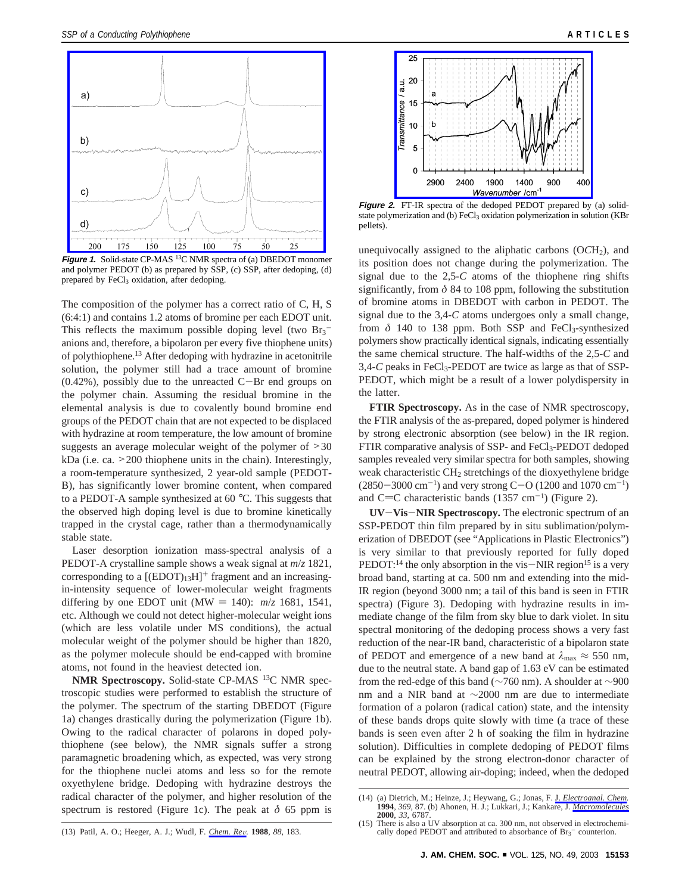

**Figure 1.** Solid-state CP-MAS 13C NMR spectra of (a) DBEDOT monomer and polymer PEDOT (b) as prepared by SSP, (c) SSP, after dedoping, (d) prepared by FeCl<sub>3</sub> oxidation, after dedoping.

The composition of the polymer has a correct ratio of C, H, S (6:4:1) and contains 1.2 atoms of bromine per each EDOT unit. This reflects the maximum possible doping level (two  $Br_3^$ anions and, therefore, a bipolaron per every five thiophene units) of polythiophene.13 After dedoping with hydrazine in acetonitrile solution, the polymer still had a trace amount of bromine  $(0.42\%)$ , possibly due to the unreacted C-Br end groups on the polymer chain. Assuming the residual bromine in the elemental analysis is due to covalently bound bromine end groups of the PEDOT chain that are not expected to be displaced with hydrazine at room temperature, the low amount of bromine suggests an average molecular weight of the polymer of ><sup>30</sup> kDa (i.e. ca. >200 thiophene units in the chain). Interestingly, a room-temperature synthesized, 2 year-old sample (PEDOT-B), has significantly lower bromine content, when compared to a PEDOT-A sample synthesized at 60 °C. This suggests that the observed high doping level is due to bromine kinetically trapped in the crystal cage, rather than a thermodynamically stable state.

Laser desorption ionization mass-spectral analysis of a PEDOT-A crystalline sample shows a weak signal at *m*/*z* 1821, corresponding to a  $[(EDOT)_{13}H]^+$  fragment and an increasingin-intensity sequence of lower-molecular weight fragments differing by one EDOT unit (MW = 140):  $m/z$  1681, 1541, etc. Although we could not detect higher-molecular weight ions (which are less volatile under MS conditions), the actual molecular weight of the polymer should be higher than 1820, as the polymer molecule should be end-capped with bromine atoms, not found in the heaviest detected ion.

**NMR Spectroscopy.** Solid-state CP-MAS 13C NMR spectroscopic studies were performed to establish the structure of the polymer. The spectrum of the starting DBEDOT (Figure 1a) changes drastically during the polymerization (Figure 1b). Owing to the radical character of polarons in doped polythiophene (see below), the NMR signals suffer a strong paramagnetic broadening which, as expected, was very strong for the thiophene nuclei atoms and less so for the remote oxyethylene bridge. Dedoping with hydrazine destroys the radical character of the polymer, and higher resolution of the spectrum is restored (Figure 1c). The peak at  $\delta$  65 ppm is



**Figure 2.** FT-IR spectra of the dedoped PEDOT prepared by (a) solidstate polymerization and (b) FeCl<sub>3</sub> oxidation polymerization in solution (KBr pellets).

unequivocally assigned to the aliphatic carbons  $(OCH<sub>2</sub>)$ , and its position does not change during the polymerization. The signal due to the 2,5-*C* atoms of the thiophene ring shifts significantly, from  $\delta$  84 to 108 ppm, following the substitution of bromine atoms in DBEDOT with carbon in PEDOT. The signal due to the 3,4-*C* atoms undergoes only a small change, from  $\delta$  140 to 138 ppm. Both SSP and FeCl<sub>3</sub>-synthesized polymers show practically identical signals, indicating essentially the same chemical structure. The half-widths of the 2,5-*C* and 3,4-*C* peaks in FeCl<sub>3</sub>-PEDOT are twice as large as that of SSP-PEDOT, which might be a result of a lower polydispersity in the latter.

**FTIR Spectroscopy.** As in the case of NMR spectroscopy, the FTIR analysis of the as-prepared, doped polymer is hindered by strong electronic absorption (see below) in the IR region. FTIR comparative analysis of SSP- and FeCl<sub>3</sub>-PEDOT dedoped samples revealed very similar spectra for both samples, showing weak characteristic  $CH<sub>2</sub>$  stretchings of the dioxyethylene bridge  $(2850-3000 \text{ cm}^{-1})$  and very strong C-O (1200 and 1070 cm<sup>-1</sup>) and C=C characteristic bands (1357 cm<sup>-1</sup>) (Figure 2).

**UV**-**Vis**-**NIR Spectroscopy.** The electronic spectrum of an SSP-PEDOT thin film prepared by in situ sublimation/polymerization of DBEDOT (see "Applications in Plastic Electronics") is very similar to that previously reported for fully doped PEDOT:<sup>14</sup> the only absorption in the vis $-NIR$  region<sup>15</sup> is a very broad band, starting at ca. 500 nm and extending into the mid-IR region (beyond 3000 nm; a tail of this band is seen in FTIR spectra) (Figure 3). Dedoping with hydrazine results in immediate change of the film from sky blue to dark violet. In situ spectral monitoring of the dedoping process shows a very fast reduction of the near-IR band, characteristic of a bipolaron state of PEDOT and emergence of a new band at  $\lambda_{\text{max}} \approx 550 \text{ nm}$ , due to the neutral state. A band gap of 1.63 eV can be estimated from the red-edge of this band (∼760 nm). A shoulder at ∼900 nm and a NIR band at ∼2000 nm are due to intermediate formation of a polaron (radical cation) state, and the intensity of these bands drops quite slowly with time (a trace of these bands is seen even after 2 h of soaking the film in hydrazine solution). Difficulties in complete dedoping of PEDOT films can be explained by the strong electron-donor character of neutral PEDOT, allowing air-doping; indeed, when the dedoped

<sup>(14) (</sup>a) Dietrich, M.; Heinze, J.; Heywang, G.; Jonas, F. J. *Electroanal. Chem.* **1994**, *369*, 87. (b) Ahonen, H. J.; Lukkari, J.; Kankare, J. *Macromolecules* **2000**, *33*, 6787.

<sup>(15)</sup> There is also a UV absorption at ca. 300 nm, not observed in electrochemically doped PEDOT and attributed to absorbance of  $Br_3^-$  counterion.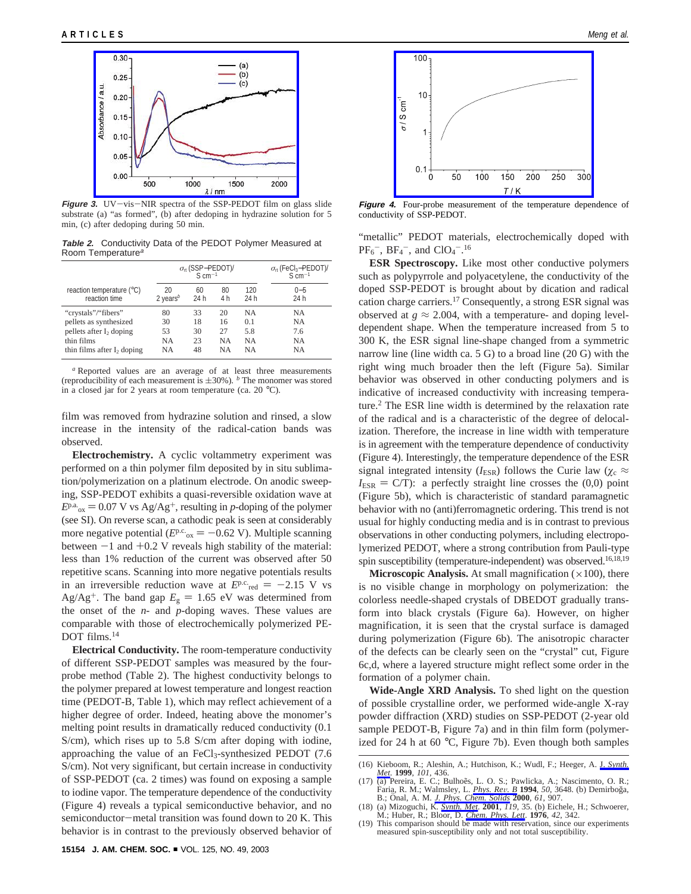

**Figure 3.** UV-vis-NIR spectra of the SSP-PEDOT film on glass slide substrate (a) "as formed", (b) after dedoping in hydrazine solution for 5 min, (c) after dedoping during 50 min.

**Table 2.** Conductivity Data of the PEDOT Polymer Measured at Room Temperature<sup>a</sup>

|                                            | $\sigma_{\rm rt}$ (SSP-PEDOT)/<br>$S \, \text{cm}^{-1}$ |            |           |             | $\sigma_{\rm rt}$ (FeCl <sub>3</sub> -PEDOT)/<br>$S \, \text{cm}^{-1}$ |
|--------------------------------------------|---------------------------------------------------------|------------|-----------|-------------|------------------------------------------------------------------------|
| reaction temperature (°C)<br>reaction time | 20<br>2 years <sup>b</sup>                              | 60<br>24 h | 80<br>4 h | 120<br>24 h | $0 - 5$<br>24 h                                                        |
| "crystals"/"fibers"                        | 80                                                      | 33         | 20        | <b>NA</b>   | <b>NA</b>                                                              |
| pellets as synthesized                     | 30                                                      | 18         | 16        | 0.1         | NA                                                                     |
| pellets after I <sub>2</sub> doping        | 53                                                      | 30         | 27        | 5.8         | 7.6                                                                    |
| thin films                                 | <b>NA</b>                                               | 23         | <b>NA</b> | <b>NA</b>   | NA                                                                     |
| thin films after I, doping                 | <b>NA</b>                                               | 48         | NA        | NA          | <b>NA</b>                                                              |

*<sup>a</sup>* Reported values are an average of at least three measurements (reproducibility of each measurement is  $\pm 30\%$ ). *b* The monomer was stored in a closed jar for 2 years at room temperature (ca. 20 °C).

film was removed from hydrazine solution and rinsed, a slow increase in the intensity of the radical-cation bands was observed.

**Electrochemistry.** A cyclic voltammetry experiment was performed on a thin polymer film deposited by in situ sublimation/polymerization on a platinum electrode. On anodic sweeping, SSP-PEDOT exhibits a quasi-reversible oxidation wave at  $E<sup>p.a</sup>_{ox} = 0.07$  V vs Ag/Ag<sup>+</sup>, resulting in *p*-doping of the polymer (see SI). On reverse scan, a cathodic peak is seen at considerably more negative potential ( $E<sup>p.c.</sup>_{ox} = -0.62$  V). Multiple scanning between  $-1$  and  $+0.2$  V reveals high stability of the material: less than 1% reduction of the current was observed after 50 repetitive scans. Scanning into more negative potentials results in an irreversible reduction wave at  $E^{p,c}$ <sub>red</sub>  $= -2.15$  V vs Ag/Ag<sup>+</sup>. The band gap  $E_g = 1.65$  eV was determined from the onset of the *n-* and *p-*doping waves. These values are comparable with those of electrochemically polymerized PE-DOT films.14

**Electrical Conductivity.** The room-temperature conductivity of different SSP-PEDOT samples was measured by the fourprobe method (Table 2). The highest conductivity belongs to the polymer prepared at lowest temperature and longest reaction time (PEDOT-B, Table 1), which may reflect achievement of a higher degree of order. Indeed, heating above the monomer's melting point results in dramatically reduced conductivity (0.1 S/cm), which rises up to 5.8 S/cm after doping with iodine, approaching the value of an  $FeCl<sub>3</sub>-synthesized PEDOT$  (7.6) S/cm). Not very significant, but certain increase in conductivity of SSP-PEDOT (ca. 2 times) was found on exposing a sample to iodine vapor. The temperature dependence of the conductivity (Figure 4) reveals a typical semiconductive behavior, and no semiconductor-metal transition was found down to 20 K. This behavior is in contrast to the previously observed behavior of



**Figure 4.** Four-probe measurement of the temperature dependence of conductivity of SSP-PEDOT.

"metallic" PEDOT materials, electrochemically doped with  $PF_6^-$ ,  $BF_4^-$ , and  $ClO_4^-$ .<sup>16</sup>

**ESR Spectroscopy.** Like most other conductive polymers such as polypyrrole and polyacetylene, the conductivity of the doped SSP-PEDOT is brought about by dication and radical cation charge carriers.17 Consequently, a strong ESR signal was observed at  $g \approx 2.004$ , with a temperature- and doping leveldependent shape. When the temperature increased from 5 to 300 K, the ESR signal line-shape changed from a symmetric narrow line (line width ca. 5 G) to a broad line (20 G) with the right wing much broader then the left (Figure 5a). Similar behavior was observed in other conducting polymers and is indicative of increased conductivity with increasing temperature.2 The ESR line width is determined by the relaxation rate of the radical and is a characteristic of the degree of delocalization. Therefore, the increase in line width with temperature is in agreement with the temperature dependence of conductivity (Figure 4). Interestingly, the temperature dependence of the ESR signal integrated intensity ( $I_{ESR}$ ) follows the Curie law ( $\chi_c \approx$  $I_{ESR} = C/T$ : a perfectly straight line crosses the  $(0,0)$  point (Figure 5b), which is characteristic of standard paramagnetic behavior with no (anti)ferromagnetic ordering. This trend is not usual for highly conducting media and is in contrast to previous observations in other conducting polymers, including electropolymerized PEDOT, where a strong contribution from Pauli-type spin susceptibility (temperature-independent) was observed.<sup>16,18,19</sup>

**Microscopic Analysis.** At small magnification  $(\times 100)$ , there is no visible change in morphology on polymerization: the colorless needle-shaped crystals of DBEDOT gradually transform into black crystals (Figure 6a). However, on higher magnification, it is seen that the crystal surface is damaged during polymerization (Figure 6b). The anisotropic character of the defects can be clearly seen on the "crystal" cut, Figure 6c,d, where a layered structure might reflect some order in the formation of a polymer chain.

**Wide-Angle XRD Analysis.** To shed light on the question of possible crystalline order, we performed wide-angle X-ray powder diffraction (XRD) studies on SSP-PEDOT (2-year old sample PEDOT-B, Figure 7a) and in thin film form (polymerized for 24 h at 60 °C, Figure 7b). Even though both samples

<sup>(16)</sup> Kieboom, R.; Aleshin, A.; Hutchison, K.; Wudl, F.; Heeger, A. J. *Synth. Met*. **1999**, *101*, 436.

<sup>(17) (</sup>a) Pereira, E. C.; Bulhoẽs, L. O. S.; Pawlicka, A.; Nascimento, O. R.; Faria, R. M.; Walmsley, L. *Phys. Rev. B* 1994, 50, 3648. (b) Demirboğa, B.; Önal, A. M. *J. Phys. Chem. Solids* 2000, 61, 907. B.; Onal, A. M. *J. Phys. Chem. Solids* **2000**, 61, 907.<br>(18) (a) Mizoguchi, K. *Synth. Met*. **2001**, 119, 35. (b) Eichele, H.; Schwoerer,

M.; Huber, R.; Bloor, D. *Chem. Phys. Lett*. **1976**, *42*, 342.

<sup>(19)</sup> This comparison should be made with reservation, since our experiments measured spin-susceptibility only and not total susceptibility.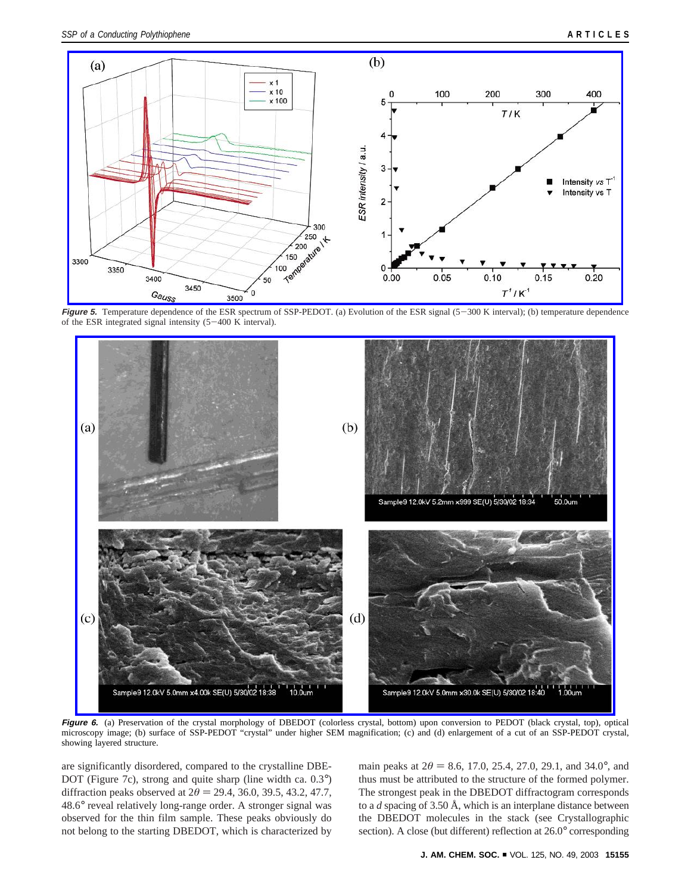

**Figure 5.** Temperature dependence of the ESR spectrum of SSP-PEDOT. (a) Evolution of the ESR signal (5-300 K interval); (b) temperature dependence of the ESR integrated signal intensity  $(5-400 \text{ K} \cdot \text{interval})$ .



Figure 6. (a) Preservation of the crystal morphology of DBEDOT (colorless crystal, bottom) upon conversion to PEDOT (black crystal, top), optical microscopy image; (b) surface of SSP-PEDOT "crystal" under higher SEM magnification; (c) and (d) enlargement of a cut of an SSP-PEDOT crystal, showing layered structure.

are significantly disordered, compared to the crystalline DBE-DOT (Figure 7c), strong and quite sharp (line width ca.  $0.3^{\circ}$ ) diffraction peaks observed at  $2\theta = 29.4$ , 36.0, 39.5, 43.2, 47.7, 48.6° reveal relatively long-range order. A stronger signal was observed for the thin film sample. These peaks obviously do not belong to the starting DBEDOT, which is characterized by

main peaks at  $2\theta = 8.6$ , 17.0, 25.4, 27.0, 29.1, and 34.0°, and thus must be attributed to the structure of the formed polymer. The strongest peak in the DBEDOT diffractogram corresponds to a *d* spacing of 3.50 Å, which is an interplane distance between the DBEDOT molecules in the stack (see Crystallographic section). A close (but different) reflection at 26.0° corresponding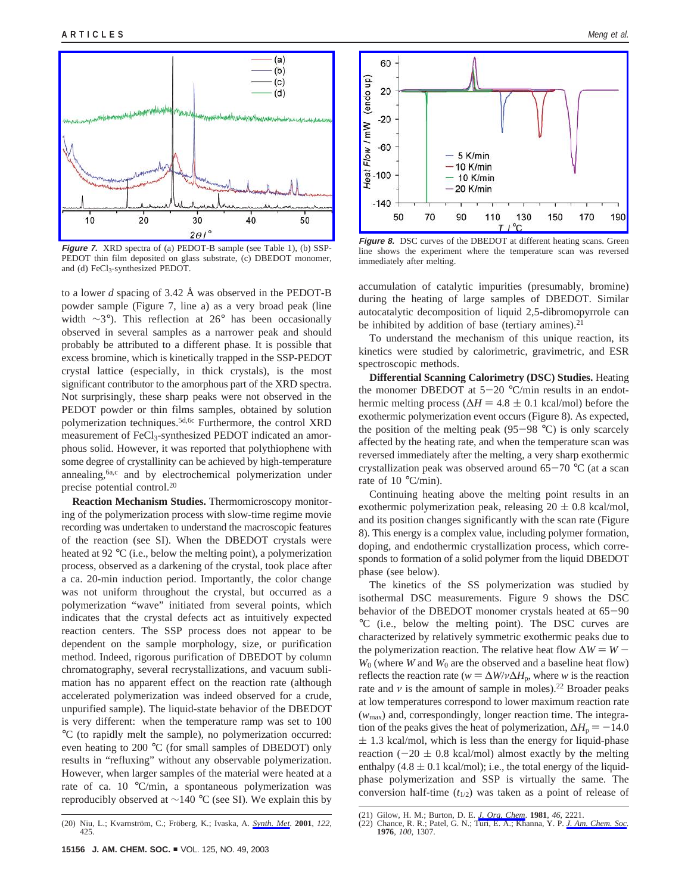

**Figure 7.** XRD spectra of (a) PEDOT-B sample (see Table 1), (b) SSP-PEDOT thin film deposited on glass substrate, (c) DBEDOT monomer, and (d) FeCl3-synthesized PEDOT.

to a lower *d* spacing of 3.42 Å was observed in the PEDOT-B powder sample (Figure 7, line a) as a very broad peak (line width ∼3°). This reflection at 26° has been occasionally observed in several samples as a narrower peak and should probably be attributed to a different phase. It is possible that excess bromine, which is kinetically trapped in the SSP-PEDOT crystal lattice (especially, in thick crystals), is the most significant contributor to the amorphous part of the XRD spectra. Not surprisingly, these sharp peaks were not observed in the PEDOT powder or thin films samples, obtained by solution polymerization techniques.<sup>5d,6c</sup> Furthermore, the control XRD measurement of FeCl<sub>3</sub>-synthesized PEDOT indicated an amorphous solid. However, it was reported that polythiophene with some degree of crystallinity can be achieved by high-temperature annealing,<sup>6a,c</sup> and by electrochemical polymerization under precise potential control.20

**Reaction Mechanism Studies.** Thermomicroscopy monitoring of the polymerization process with slow-time regime movie recording was undertaken to understand the macroscopic features of the reaction (see SI). When the DBEDOT crystals were heated at 92 °C (i.e., below the melting point), a polymerization process, observed as a darkening of the crystal, took place after a ca. 20-min induction period. Importantly, the color change was not uniform throughout the crystal, but occurred as a polymerization "wave" initiated from several points, which indicates that the crystal defects act as intuitively expected reaction centers. The SSP process does not appear to be dependent on the sample morphology, size, or purification method. Indeed, rigorous purification of DBEDOT by column chromatography, several recrystallizations, and vacuum sublimation has no apparent effect on the reaction rate (although accelerated polymerization was indeed observed for a crude, unpurified sample). The liquid-state behavior of the DBEDOT is very different: when the temperature ramp was set to 100 °C (to rapidly melt the sample), no polymerization occurred: even heating to 200 °C (for small samples of DBEDOT) only results in "refluxing" without any observable polymerization. However, when larger samples of the material were heated at a rate of ca. 10 °C/min, a spontaneous polymerization was reproducibly observed at ∼140 °C (see SI). We explain this by





**Figure 8.** DSC curves of the DBEDOT at different heating scans. Green line shows the experiment where the temperature scan was reversed immediately after melting.

accumulation of catalytic impurities (presumably, bromine) during the heating of large samples of DBEDOT. Similar autocatalytic decomposition of liquid 2,5-dibromopyrrole can be inhibited by addition of base (tertiary amines).<sup>21</sup>

To understand the mechanism of this unique reaction, its kinetics were studied by calorimetric, gravimetric, and ESR spectroscopic methods.

**Differential Scanning Calorimetry (DSC) Studies.** Heating the monomer DBEDOT at  $5-20$  °C/min results in an endothermic melting process ( $\Delta H = 4.8 \pm 0.1$  kcal/mol) before the exothermic polymerization event occurs (Figure 8). As expected, the position of the melting peak (95-98  $^{\circ}$ C) is only scarcely affected by the heating rate, and when the temperature scan was reversed immediately after the melting, a very sharp exothermic crystallization peak was observed around  $65-70$  °C (at a scan rate of 10 °C/min).

Continuing heating above the melting point results in an exothermic polymerization peak, releasing  $20 \pm 0.8$  kcal/mol, and its position changes significantly with the scan rate (Figure 8). This energy is a complex value, including polymer formation, doping, and endothermic crystallization process, which corresponds to formation of a solid polymer from the liquid DBEDOT phase (see below).

The kinetics of the SS polymerization was studied by isothermal DSC measurements. Figure 9 shows the DSC behavior of the DBEDOT monomer crystals heated at 65-<sup>90</sup> °C (i.e., below the melting point). The DSC curves are characterized by relatively symmetric exothermic peaks due to the polymerization reaction. The relative heat flow  $\Delta W = W W_0$  (where *W* and  $W_0$  are the observed and a baseline heat flow) reflects the reaction rate ( $w = \Delta W/v \Delta H_p$ , where *w* is the reaction rate and  $\nu$  is the amount of sample in moles).<sup>22</sup> Broader peaks at low temperatures correspond to lower maximum reaction rate (*w*max) and, correspondingly, longer reaction time. The integration of the peaks gives the heat of polymerization,  $\Delta H_p = -14.0$  $\pm$  1.3 kcal/mol, which is less than the energy for liquid-phase reaction ( $-20 \pm 0.8$  kcal/mol) almost exactly by the melting enthalpy  $(4.8 \pm 0.1 \text{ kcal/mol})$ ; i.e., the total energy of the liquidphase polymerization and SSP is virtually the same. The conversion half-time  $(t_{1/2})$  was taken as a point of release of

<sup>(21)</sup> Gilow, H. M.; Burton, D. E. *J. Org, Chem*. **1981**, *46*, 2221.

<sup>(22)</sup> Chance, R. R.; Patel, G*.* N.; Turi, E. A.; Khanna, Y. P. *J. Am. Chem. Soc.* **1976**, *100*, 1307.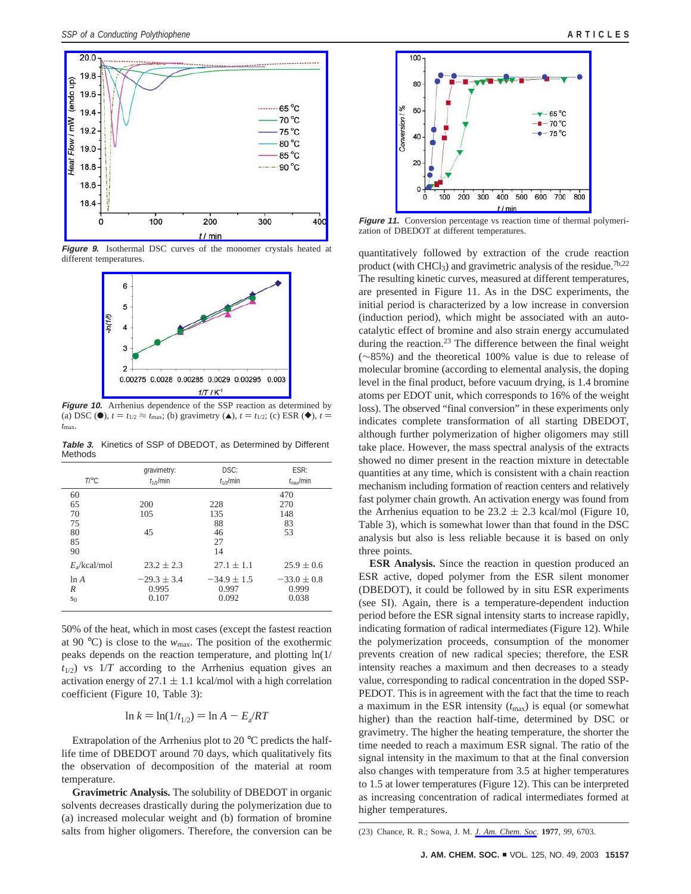

**Figure 9.** Isothermal DSC curves of the monomer crystals heated at different temperatures.



**Figure 10.** Arrhenius dependence of the SSP reaction as determined by (a) DSC ( $\bullet$ ),  $t = t_{1/2} \approx t_{\text{max}}$ ; (b) gravimetry ( $\bullet$ ),  $t = t_{1/2}$ ; (c) ESR ( $\bullet$ ),  $t =$ *t*max.

**Table 3.** Kinetics of SSP of DBEDOT, as Determined by Different Methods

| $T \circ C$                            | gravimetry:      | DSC:                               | ESR:                          |
|----------------------------------------|------------------|------------------------------------|-------------------------------|
|                                        | $t_{1/2}$ /min   | $t_{1/2}$ /min                     | $t_{\rm max}/$ min            |
| 60<br>65<br>70<br>75<br>80<br>85<br>90 | 200<br>105<br>45 | 228<br>135<br>88<br>46<br>27<br>14 | 470<br>270<br>148<br>83<br>53 |
| $E_2$ /kcal/mol                        | $23.2 + 2.3$     | $27.1 \pm 1.1$                     | $25.9 \pm 0.6$                |
| ln A                                   | $-29.3 \pm 3.4$  | $-34.9 \pm 1.5$                    | $-33.0 \pm 0.8$               |
| R                                      | 0.995            | 0.997                              | 0.999                         |
| S <sub>0</sub>                         | 0.107            | 0.092                              | 0.038                         |

50% of the heat, which in most cases (except the fastest reaction at 90 °C) is close to the  $w_{\text{max}}$ . The position of the exothermic peaks depends on the reaction temperature, and plotting ln(1/  $t_{1/2}$ ) vs  $1/T$  according to the Arrhenius equation gives an activation energy of  $27.1 \pm 1.1$  kcal/mol with a high correlation coefficient (Figure 10, Table 3):

$$
\ln k = \ln(1/t_{1/2}) = \ln A - E_a/RT
$$

Extrapolation of the Arrhenius plot to 20 °C predicts the halflife time of DBEDOT around 70 days, which qualitatively fits the observation of decomposition of the material at room temperature.

**Gravimetric Analysis.** The solubility of DBEDOT in organic solvents decreases drastically during the polymerization due to (a) increased molecular weight and (b) formation of bromine salts from higher oligomers. Therefore, the conversion can be



**Figure 11.** Conversion percentage vs reaction time of thermal polymerization of DBEDOT at different temperatures.

quantitatively followed by extraction of the crude reaction product (with CHCl<sub>3</sub>) and gravimetric analysis of the residue.<sup>7b,22</sup> The resulting kinetic curves, measured at different temperatures, are presented in Figure 11. As in the DSC experiments, the initial period is characterized by a low increase in conversion (induction period), which might be associated with an autocatalytic effect of bromine and also strain energy accumulated during the reaction.<sup>23</sup> The difference between the final weight (∼85%) and the theoretical 100% value is due to release of molecular bromine (according to elemental analysis, the doping level in the final product, before vacuum drying, is 1.4 bromine atoms per EDOT unit, which corresponds to 16% of the weight loss). The observed "final conversion" in these experiments only indicates complete transformation of all starting DBEDOT, although further polymerization of higher oligomers may still take place. However, the mass spectral analysis of the extracts showed no dimer present in the reaction mixture in detectable quantities at any time, which is consistent with a chain reaction mechanism including formation of reaction centers and relatively fast polymer chain growth. An activation energy was found from the Arrhenius equation to be  $23.2 \pm 2.3$  kcal/mol (Figure 10, Table 3), which is somewhat lower than that found in the DSC analysis but also is less reliable because it is based on only three points.

**ESR Analysis.** Since the reaction in question produced an ESR active, doped polymer from the ESR silent monomer (DBEDOT), it could be followed by in situ ESR experiments (see SI). Again, there is a temperature-dependent induction period before the ESR signal intensity starts to increase rapidly, indicating formation of radical intermediates (Figure 12). While the polymerization proceeds, consumption of the monomer prevents creation of new radical species; therefore, the ESR intensity reaches a maximum and then decreases to a steady value, corresponding to radical concentration in the doped SSP-PEDOT. This is in agreement with the fact that the time to reach a maximum in the ESR intensity  $(t_{\text{max}})$  is equal (or somewhat higher) than the reaction half-time, determined by DSC or gravimetry. The higher the heating temperature, the shorter the time needed to reach a maximum ESR signal. The ratio of the signal intensity in the maximum to that at the final conversion also changes with temperature from 3.5 at higher temperatures to 1.5 at lower temperatures (Figure 12). This can be interpreted as increasing concentration of radical intermediates formed at higher temperatures.

<sup>(23)</sup> Chance, R. R.; Sowa, J. M. *J. Am. Chem. Soc*. **1977**, *99*, 6703.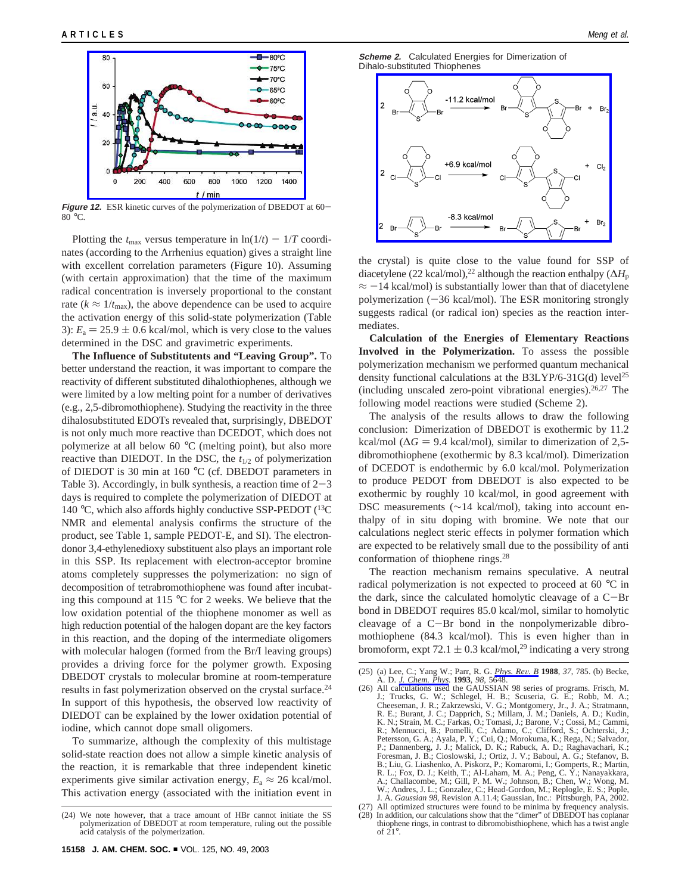

**Figure 12.** ESR kinetic curves of the polymerization of DBEDOT at 60-  $80^{\circ}$ C.

Plotting the  $t_{\text{max}}$  versus temperature in  $\ln(1/t) - 1/T$  coordinates (according to the Arrhenius equation) gives a straight line with excellent correlation parameters (Figure 10). Assuming (with certain approximation) that the time of the maximum radical concentration is inversely proportional to the constant rate ( $k \approx 1/t_{\text{max}}$ ), the above dependence can be used to acquire the activation energy of this solid-state polymerization (Table 3):  $E_a = 25.9 \pm 0.6$  kcal/mol, which is very close to the values determined in the DSC and gravimetric experiments.

**The Influence of Substitutents and "Leaving Group".** To better understand the reaction, it was important to compare the reactivity of different substituted dihalothiophenes, although we were limited by a low melting point for a number of derivatives (e.g., 2,5-dibromothiophene). Studying the reactivity in the three dihalosubstituted EDOTs revealed that, surprisingly, DBEDOT is not only much more reactive than DCEDOT, which does not polymerize at all below 60 °C (melting point), but also more reactive than DIEDOT. In the DSC, the *t*1/2 of polymerization of DIEDOT is 30 min at 160 °C (cf. DBEDOT parameters in Table 3). Accordingly, in bulk synthesis, a reaction time of  $2-3$ days is required to complete the polymerization of DIEDOT at 140 °C, which also affords highly conductive SSP-PEDOT  $(^{13}C)$ NMR and elemental analysis confirms the structure of the product, see Table 1, sample PEDOT-E, and SI). The electrondonor 3,4-ethylenedioxy substituent also plays an important role in this SSP. Its replacement with electron-acceptor bromine atoms completely suppresses the polymerization: no sign of decomposition of tetrabromothiophene was found after incubating this compound at 115 °C for 2 weeks. We believe that the low oxidation potential of the thiophene monomer as well as high reduction potential of the halogen dopant are the key factors in this reaction, and the doping of the intermediate oligomers with molecular halogen (formed from the Br/I leaving groups) provides a driving force for the polymer growth. Exposing DBEDOT crystals to molecular bromine at room-temperature results in fast polymerization observed on the crystal surface.24 In support of this hypothesis, the observed low reactivity of DIEDOT can be explained by the lower oxidation potential of iodine, which cannot dope small oligomers.

To summarize, although the complexity of this multistage solid-state reaction does not allow a simple kinetic analysis of the reaction, it is remarkable that three independent kinetic experiments give similar activation energy,  $E_a \approx 26$  kcal/mol. This activation energy (associated with the initiation event in



the crystal) is quite close to the value found for SSP of diacetylene (22 kcal/mol),<sup>22</sup> although the reaction enthalpy ( $\Delta H_{\rm p}$ )  $\approx$  -14 kcal/mol) is substantially lower than that of diacetylene polymerization  $(-36 \text{ kcal/mol})$ . The ESR monitoring strongly suggests radical (or radical ion) species as the reaction intermediates.

**Calculation of the Energies of Elementary Reactions Involved in the Polymerization.** To assess the possible polymerization mechanism we performed quantum mechanical density functional calculations at the B3LYP/6-31G(d) level<sup>25</sup> (including unscaled zero-point vibrational energies). $26,27$  The following model reactions were studied (Scheme 2).

The analysis of the results allows to draw the following conclusion: Dimerization of DBEDOT is exothermic by 11.2 kcal/mol ( $\Delta G = 9.4$  kcal/mol), similar to dimerization of 2,5dibromothiophene (exothermic by 8.3 kcal/mol). Dimerization of DCEDOT is endothermic by 6.0 kcal/mol. Polymerization to produce PEDOT from DBEDOT is also expected to be exothermic by roughly 10 kcal/mol, in good agreement with DSC measurements (∼14 kcal/mol), taking into account enthalpy of in situ doping with bromine. We note that our calculations neglect steric effects in polymer formation which are expected to be relatively small due to the possibility of anti conformation of thiophene rings.28

The reaction mechanism remains speculative. A neutral radical polymerization is not expected to proceed at 60 °C in the dark, since the calculated homolytic cleavage of a  $C-P$ bond in DBEDOT requires 85.0 kcal/mol, similar to homolytic cleavage of a C-Br bond in the nonpolymerizable dibromothiophene (84.3 kcal/mol). This is even higher than in bromoform, expt 72.1  $\pm$  0.3 kcal/mol,<sup>29</sup> indicating a very strong

of 21°.

<sup>(24)</sup> We note however, that a trace amount of HBr cannot initiate the SS polymerization of DBEDOT at room temperature, ruling out the possible acid catalysis of the polymerization.

<sup>(25) (</sup>a) Lee, C.; Yang W.; Parr, R. G. *Phys. Rev. B* 1988, 37, 785. (b) Becke, A. D. *J. Chem. Phys.* 1993, 98, 5648. (26) All calculations used the GAUSSIAN 98 series of programs. Frisch, M.

J.; Trucks, G. W.; Schlegel, H. B.; Scuseria, G. E.; Robb, M. A.; Cheeseman, J. R.; Zakrzewski, V. G.; Montgomery, Jr., J. A.; Stratmann, R. E.; Burant, J. C.; Dapprich, S.; Millam, J. M.; Daniels, A. D.; Kudin, K. N.; Strain, M. C.; Farkas, O.; Tomasi, J.; Barone, V.; Cossi, M.; Cammi, R.; Mennucci, B.; Pomelli, C.; Adamo, C.; Clifford, S.; Ochterski, J.; Petersson, G. A.; Ayala, P. Y.; Cui, Q.; Morokuma, K.; Rega, N.; Salvador, P.; Dannenberg, J. J.; Malick, D. K.; Rabuck, A. D.; Raghavachari, K.; Foresman, J. B.; Cioslowski, J.; Ortiz, J. V.; Baboul, A. G.; Stefanov, B. B.; Liu, G. Liashenko, A. Piskorz, P.; Komaromi, I.; Gomperts, R.; Martin, R. L.; Fox, D. J.; Keith, T.; Al-Laham, M. A.; Peng, C. Y.; Nanayakkara, A.; Challacombe, M.; Gill, P. M. W.; Johnson, B.; Chen, W.; Wong, M. W.; Andres, J. L.; Gonzalez, C.; Head-Gordon, M.; Replogle, E. S.; Pople, J. A. *Gaussian 98*, Revision A.11.4; Gaussian, Inc.: Pittsburgh, PA, 2002.

<sup>(27)</sup> All optimized structures were found to be minima by frequency analysis. (28) In addition, our calculations show that the "dimer" of DBEDOT has coplanar thiophene rings, in contrast to dibromobisthiophene, which has a twist angle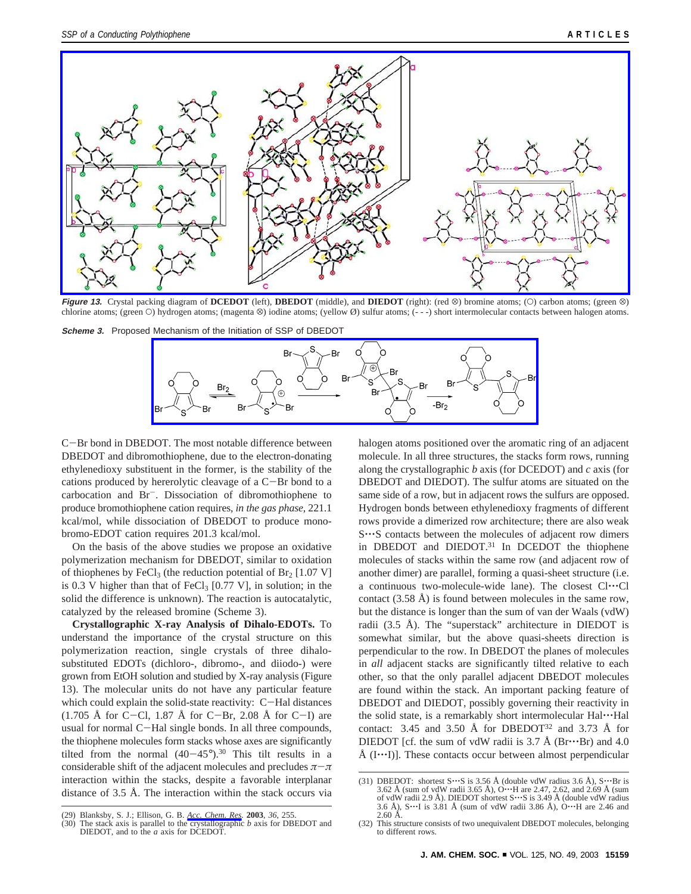

**Figure 13.** Crystal packing diagram of **DCEDOT** (left), **DBEDOT** (middle), and **DIEDOT** (right): (red  $\otimes$ ) bromine atoms; (O) carbon atoms; (green  $\otimes$ ) chlorine atoms; (green O) hydrogen atoms; (magenta  $\otimes$ ) iodine atoms; (yellow Ø) sulfur atoms; (---) short intermolecular contacts between halogen atoms.

**Scheme 3.** Proposed Mechanism of the Initiation of SSP of DBEDOT



<sup>C</sup>-Br bond in DBEDOT. The most notable difference between DBEDOT and dibromothiophene, due to the electron-donating ethylenedioxy substituent in the former, is the stability of the cations produced by hererolytic cleavage of a C-Br bond to a carbocation and Br-. Dissociation of dibromothiophene to produce bromothiophene cation requires, *in the gas phase*, 221.1 kcal/mol, while dissociation of DBEDOT to produce monobromo-EDOT cation requires 201.3 kcal/mol.

On the basis of the above studies we propose an oxidative polymerization mechanism for DBEDOT, similar to oxidation of thiophenes by FeCl<sub>3</sub> (the reduction potential of Br<sub>2</sub> [1.07 V] is 0.3 V higher than that of  $FeCl<sub>3</sub>$  [0.77 V], in solution; in the solid the difference is unknown). The reaction is autocatalytic, catalyzed by the released bromine (Scheme 3).

**Crystallographic X-ray Analysis of Dihalo-EDOTs.** To understand the importance of the crystal structure on this polymerization reaction, single crystals of three dihalosubstituted EDOTs (dichloro-, dibromo-, and diiodo-) were grown from EtOH solution and studied by X-ray analysis (Figure 13). The molecular units do not have any particular feature which could explain the solid-state reactivity: C-Hal distances  $(1.705 \text{ Å} \text{ for } C-Cl, 1.87 \text{ Å} \text{ for } C-Br, 2.08 \text{ Å} \text{ for } C-I)$  are usual for normal C-Hal single bonds. In all three compounds, the thiophene molecules form stacks whose axes are significantly tilted from the normal  $(40-45^{\circ})$ .<sup>30</sup> This tilt results in a considerable shift of the adjacent molecules and precludes  $\pi-\pi$ interaction within the stacks, despite a favorable interplanar distance of 3.5 Å. The interaction within the stack occurs via halogen atoms positioned over the aromatic ring of an adjacent molecule. In all three structures, the stacks form rows, running along the crystallographic *b* axis (for DCEDOT) and *c* axis (for DBEDOT and DIEDOT). The sulfur atoms are situated on the same side of a row, but in adjacent rows the sulfurs are opposed. Hydrogen bonds between ethylenedioxy fragments of different rows provide a dimerized row architecture; there are also weak S…S contacts between the molecules of adjacent row dimers in DBEDOT and DIEDOT.31 In DCEDOT the thiophene molecules of stacks within the same row (and adjacent row of another dimer) are parallel, forming a quasi-sheet structure (i.e. a continuous two-molecule-wide lane). The closest Cl'''Cl contact (3.58 Å) is found between molecules in the same row, but the distance is longer than the sum of van der Waals (vdW) radii (3.5 Å). The "superstack" architecture in DIEDOT is somewhat similar, but the above quasi-sheets direction is perpendicular to the row. In DBEDOT the planes of molecules in *all* adjacent stacks are significantly tilted relative to each other, so that the only parallel adjacent DBEDOT molecules are found within the stack. An important packing feature of DBEDOT and DIEDOT, possibly governing their reactivity in the solid state, is a remarkably short intermolecular Hal···Hal contact: 3.45 and 3.50 Å for DBEDOT<sup>32</sup> and 3.73 Å for DIEDOT [cf. the sum of vdW radii is  $3.7 \text{ Å}$  (Br $\cdots$ Br) and 4.0 Å  $(I \cdot \cdot \cdot I)$ ]. These contacts occur between almost perpendicular

<sup>(29)</sup> Blanksby, S. J.; Ellison, G. B. *Acc. Chem. Res.* **2003**, *36*, 255.

The stack axis is parallel to the crystallographic *b* axis for DBEDOT and DIEDOT, and to the *a* axis for DCEDOT.

<sup>(31)</sup> DBEDOT: shortest S<sup> $\cdots$ </sup>S is 3.56 Å (double vdW radius 3.6 Å), S $\cdots$ Br is 3.62 Å (sum of vdW radii 3.65 Å), O $\cdots$ H are 2.47, 2.62, and 2.69 Å (sum of vdW radii 2.9 Å). DIEDOT shortest S $\cdot\cdot\cdot$ S is 3.49 Å (double vdW radius 3.6 Å), S $\cdot\cdot\cdot$ H are 2.46 and 2.60 Å.

<sup>(32)</sup> This structure consists of two unequivalent DBEDOT molecules, belonging to different rows.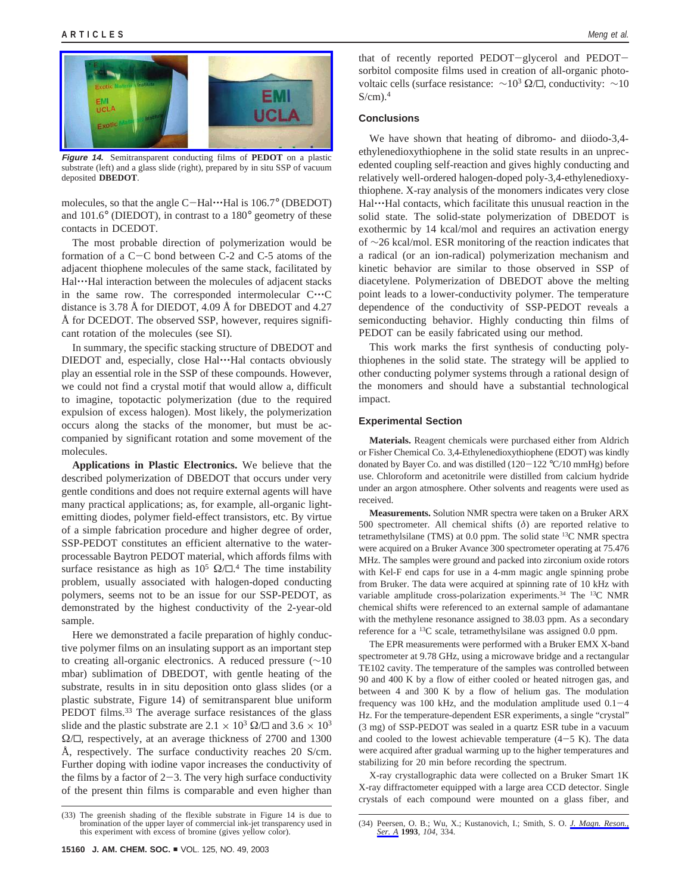**Figure 14.** Semitransparent conducting films of **PEDOT** on a plastic substrate (left) and a glass slide (right), prepared by in situ SSP of vacuum deposited **DBEDOT**.

molecules, so that the angle C-Hal····Hal is 106.7° (DBEDOT) and 101.6° (DIEDOT), in contrast to a 180° geometry of these contacts in DCEDOT.

The most probable direction of polymerization would be formation of a C-C bond between C-2 and C-5 atoms of the adjacent thiophene molecules of the same stack, facilitated by Hal  $\cdots$ Hal interaction between the molecules of adjacent stacks in the same row. The corresponded intermolecular C'''<sup>C</sup> distance is 3.78 Å for DIEDOT, 4.09 Å for DBEDOT and 4.27 Å for DCEDOT. The observed SSP, however, requires significant rotation of the molecules (see SI).

In summary, the specific stacking structure of DBEDOT and DIEDOT and, especially, close Hal····Hal contacts obviously play an essential role in the SSP of these compounds. However, we could not find a crystal motif that would allow a, difficult to imagine, topotactic polymerization (due to the required expulsion of excess halogen). Most likely, the polymerization occurs along the stacks of the monomer, but must be accompanied by significant rotation and some movement of the molecules.

**Applications in Plastic Electronics.** We believe that the described polymerization of DBEDOT that occurs under very gentle conditions and does not require external agents will have many practical applications; as, for example, all-organic lightemitting diodes, polymer field-effect transistors, etc. By virtue of a simple fabrication procedure and higher degree of order, SSP-PEDOT constitutes an efficient alternative to the waterprocessable Baytron PEDOT material, which affords films with surface resistance as high as  $10^5 \Omega/D$ .<sup>4</sup> The time instability problem, usually associated with halogen-doped conducting polymers, seems not to be an issue for our SSP-PEDOT, as demonstrated by the highest conductivity of the 2-year-old sample.

Here we demonstrated a facile preparation of highly conductive polymer films on an insulating support as an important step to creating all-organic electronics. A reduced pressure (∼10 mbar) sublimation of DBEDOT, with gentle heating of the substrate, results in in situ deposition onto glass slides (or a plastic substrate, Figure 14) of semitransparent blue uniform PEDOT films.<sup>33</sup> The average surface resistances of the glass slide and the plastic substrate are  $2.1 \times 10^3 \Omega/\Box$  and  $3.6 \times 10^3$  $\Omega/\square$ , respectively, at an average thickness of 2700 and 1300 Å, respectively. The surface conductivity reaches 20 S/cm. Further doping with iodine vapor increases the conductivity of the films by a factor of  $2-3$ . The very high surface conductivity of the present thin films is comparable and even higher than that of recently reported PEDOT-glycerol and PEDOTsorbitol composite films used in creation of all-organic photovoltaic cells (surface resistance:  $\sim$ 10<sup>3</sup> Ω/ $\Box$ , conductivity:  $\sim$ 10  $S/cm$ ).<sup>4</sup>

### **Conclusions**

We have shown that heating of dibromo- and diiodo-3,4 ethylenedioxythiophene in the solid state results in an unprecedented coupling self-reaction and gives highly conducting and relatively well-ordered halogen-doped poly-3,4-ethylenedioxythiophene. X-ray analysis of the monomers indicates very close Hal…Hal contacts, which facilitate this unusual reaction in the solid state. The solid-state polymerization of DBEDOT is exothermic by 14 kcal/mol and requires an activation energy of ∼26 kcal/mol. ESR monitoring of the reaction indicates that a radical (or an ion-radical) polymerization mechanism and kinetic behavior are similar to those observed in SSP of diacetylene. Polymerization of DBEDOT above the melting point leads to a lower-conductivity polymer. The temperature dependence of the conductivity of SSP-PEDOT reveals a semiconducting behavior. Highly conducting thin films of PEDOT can be easily fabricated using our method.

This work marks the first synthesis of conducting polythiophenes in the solid state. The strategy will be applied to other conducting polymer systems through a rational design of the monomers and should have a substantial technological impact.

## **Experimental Section**

**Materials.** Reagent chemicals were purchased either from Aldrich or Fisher Chemical Co. 3,4-Ethylenedioxythiophene (EDOT) was kindly donated by Bayer Co. and was distilled  $(120-122 \degree C/10 \text{ mmHg})$  before use. Chloroform and acetonitrile were distilled from calcium hydride under an argon atmosphere. Other solvents and reagents were used as received.

**Measurements.** Solution NMR spectra were taken on a Bruker ARX 500 spectrometer. All chemical shifts (*δ*) are reported relative to tetramethylsilane (TMS) at 0.0 ppm. The solid state 13C NMR spectra were acquired on a Bruker Avance 300 spectrometer operating at 75.476 MHz. The samples were ground and packed into zirconium oxide rotors with Kel-F end caps for use in a 4-mm magic angle spinning probe from Bruker. The data were acquired at spinning rate of 10 kHz with variable amplitude cross-polarization experiments.<sup>34</sup> The <sup>13</sup>C NMR chemical shifts were referenced to an external sample of adamantane with the methylene resonance assigned to 38.03 ppm. As a secondary reference for a 13C scale, tetramethylsilane was assigned 0.0 ppm.

The EPR measurements were performed with a Bruker EMX X-band spectrometer at 9.78 GHz, using a microwave bridge and a rectangular TE102 cavity. The temperature of the samples was controlled between 90 and 400 K by a flow of either cooled or heated nitrogen gas, and between 4 and 300 K by a flow of helium gas. The modulation frequency was 100 kHz, and the modulation amplitude used  $0.1-4$ Hz. For the temperature-dependent ESR experiments, a single "crystal" (3 mg) of SSP-PEDOT was sealed in a quartz ESR tube in a vacuum and cooled to the lowest achievable temperature  $(4-5 K)$ . The data were acquired after gradual warming up to the higher temperatures and stabilizing for 20 min before recording the spectrum.

X-ray crystallographic data were collected on a Bruker Smart 1K X-ray diffractometer equipped with a large area CCD detector. Single crystals of each compound were mounted on a glass fiber, and

<sup>(33)</sup> The greenish shading of the flexible substrate in Figure 14 is due to bromination of the upper layer of commercial ink-jet transparency used in this experiment with excess of bromine (gives yellow color).

<sup>(34)</sup> Peersen, O. B.; Wu, X.; Kustanovich, I.; Smith, S. O. *J. Magn. Reson., Ser. A* **1993**, *104*, 334.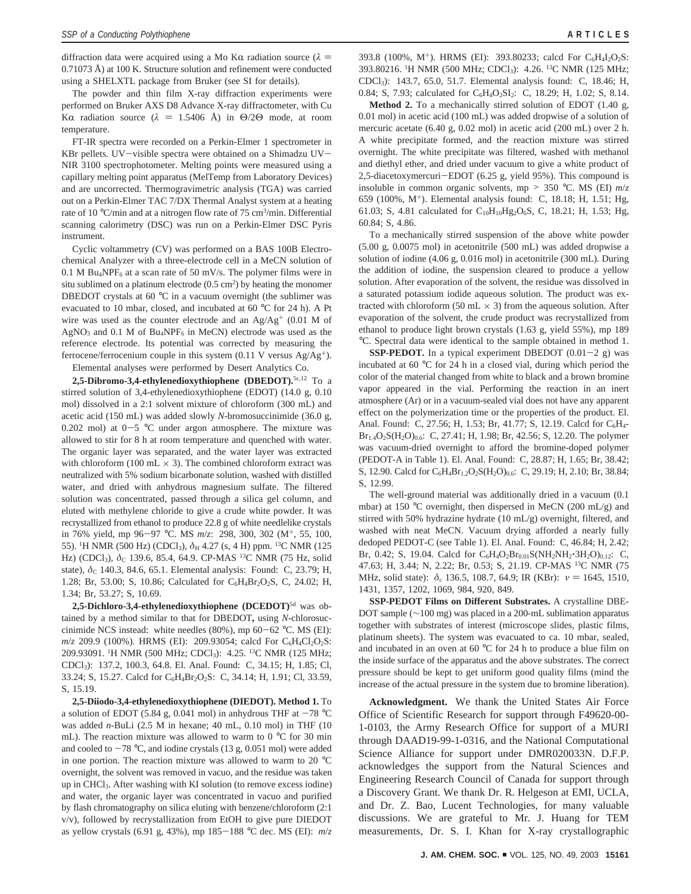diffraction data were acquired using a Mo Kα radiation source ( $λ$  = 0.71073 Å) at 100 K. Structure solution and refinement were conducted using a SHELXTL package from Bruker (see SI for details).

The powder and thin film X-ray diffraction experiments were performed on Bruker AXS D8 Advance X-ray diffractometer, with Cu K $\alpha$  radiation source ( $\lambda = 1.5406$  Å) in  $\Theta/2\Theta$  mode, at room temperature.

FT-IR spectra were recorded on a Perkin-Elmer 1 spectrometer in KBr pellets. UV-visible spectra were obtained on a Shimadzu UV-NIR 3100 spectrophotometer. Melting points were measured using a capillary melting point apparatus (MelTemp from Laboratory Devices) and are uncorrected. Thermogravimetric analysis (TGA) was carried out on a Perkin-Elmer TAC 7/DX Thermal Analyst system at a heating rate of 10 °C/min and at a nitrogen flow rate of 75 cm<sup>3</sup>/min. Differential scanning calorimetry (DSC) was run on a Perkin-Elmer DSC Pyris instrument.

Cyclic voltammetry (CV) was performed on a BAS 100B Electrochemical Analyzer with a three-electrode cell in a MeCN solution of 0.1 M Bu<sub>4</sub>NPF<sub>6</sub> at a scan rate of 50 mV/s. The polymer films were in situ sublimed on a platinum electrode  $(0.5 \text{ cm}^2)$  by heating the monomer DBEDOT crystals at 60 °C in a vacuum overnight (the sublimer was evacuated to 10 mbar, closed, and incubated at 60 °C for 24 h). A Pt wire was used as the counter electrode and an  $Ag/Ag^{+}$  (0.01 M of  $AgNO<sub>3</sub>$  and 0.1 M of Bu<sub>4</sub>NPF<sub>6</sub> in MeCN) electrode was used as the reference electrode. Its potential was corrected by measuring the ferrocene/ferrocenium couple in this system  $(0.11 \text{ V}$  versus Ag/Ag<sup>+</sup>).

Elemental analyses were performed by Desert Analytics Co.

**2,5-Dibromo-3,4-ethylenedioxythiophene (DBEDOT).**5c,12 To a stirred solution of 3,4-ethylenedioxythiophene (EDOT) (14.0 g, 0.10 mol) dissolved in a 2:1 solvent mixture of chloroform (300 mL) and acetic acid (150 mL) was added slowly *N-*bromosuccinimide (36.0 g, 0.202 mol) at  $0-5$  °C under argon atmosphere. The mixture was allowed to stir for 8 h at room temperature and quenched with water. The organic layer was separated, and the water layer was extracted with chloroform (100 mL  $\times$  3). The combined chloroform extract was neutralized with 5% sodium bicarbonate solution, washed with distilled water, and dried with anhydrous magnesium sulfate. The filtered solution was concentrated, passed through a silica gel column, and eluted with methylene chloride to give a crude white powder. It was recrystallized from ethanol to produce 22.8 g of white needlelike crystals in 76% yield, mp 96-<sup>97</sup> °C. MS *<sup>m</sup>*/*z*: 298, 300, 302 (M+, 55, 100, 55). <sup>1</sup>H NMR (500 Hz) (CDCl<sub>3</sub>),  $\delta$ <sub>H</sub> 4.27 (s, 4 H) ppm. <sup>13</sup>C NMR (125 Hz) (CDCl<sub>3</sub>),  $\delta$ <sub>C</sub> 139.6, 85.4, 64.9. CP-MAS<sup>13</sup>C NMR (75 Hz, solid state),  $δ$ <sub>C</sub> 140.3, 84.6, 65.1. Elemental analysis: Found: C, 23.79; H, 1.28; Br, 53.00; S, 10.86; Calculated for C<sub>6</sub>H<sub>4</sub>Br<sub>2</sub>O<sub>2</sub>S, C, 24.02; H, 1.34; Br, 53.27; S, 10.69.

**2,5-Dichloro-3,4-ethylenedioxythiophene (DCEDOT)**5d was obtained by a method similar to that for DBEDOT**,** using *N*-chlorosuccinimide NCS instead: white needles (80%), mp 60-<sup>62</sup> °C. MS (EI): *m/z* 209.9 (100%). HRMS (EI): 209.93054; calcd For C<sub>6</sub>H<sub>4</sub>Cl<sub>2</sub>O<sub>2</sub>S: 209.93091. <sup>1</sup>H NMR (500 MHz; CDCl<sub>3</sub>): 4.25. <sup>13</sup>C NMR (125 MHz; CDCl3): 137.2, 100.3, 64.8. El. Anal. Found: C, 34.15; H, 1.85; Cl, 33.24; S, 15.27. Calcd for C<sub>6</sub>H<sub>4</sub>Br<sub>2</sub>O<sub>2</sub>S: C, 34.14; H, 1.91; Cl, 33.59, S, 15.19.

**2,5-Diiodo-3,4-ethylenedioxythiophene (DIEDOT). Method 1.** To a solution of EDOT (5.84 g, 0.041 mol) in anhydrous THF at  $-78$  °C was added *n*-BuLi (2.5 M in hexane; 40 mL, 0.10 mol) in THF (10 mL). The reaction mixture was allowed to warm to 0 °C for 30 min and cooled to  $-78$  °C, and iodine crystals (13 g, 0.051 mol) were added in one portion. The reaction mixture was allowed to warm to 20 °C overnight, the solvent was removed in vacuo, and the residue was taken up in CHCl3. After washing with KI solution (to remove excess iodine) and water, the organic layer was concentrated in vacuo and purified by flash chromatography on silica eluting with benzene/chloroform (2:1 v/v), followed by recrystallization from EtOH to give pure DIEDOT as yellow crystals (6.91 g, 43%), mp 185-<sup>188</sup> °C dec. MS (EI): *<sup>m</sup>*/*<sup>z</sup>*

393.8 (100%, M<sup>+</sup>). HRMS (EI): 393.80233; calcd For C<sub>6</sub>H<sub>4</sub>I<sub>2</sub>O<sub>2</sub>S: 393.80216. <sup>1</sup>H NMR (500 MHz; CDCl<sub>3</sub>): 4.26. <sup>13</sup>C NMR (125 MHz; CDCl3): 143.7, 65.0, 51.7. Elemental analysis found: C, 18.46; H, 0.84; S, 7.93; calculated for C<sub>6</sub>H<sub>4</sub>O<sub>2</sub>SI<sub>2</sub>: C, 18.29; H, 1.02; S, 8.14.

**Method 2.** To a mechanically stirred solution of EDOT (1.40 g, 0.01 mol) in acetic acid (100 mL) was added dropwise of a solution of mercuric acetate (6.40 g, 0.02 mol) in acetic acid (200 mL) over 2 h. A white precipitate formed, and the reaction mixture was stirred overnight. The white precipitate was filtered, washed with methanol and diethyl ether, and dried under vacuum to give a white product of 2,5-diacetoxymercuri-EDOT (6.25 g, yield 95%). This compound is insoluble in common organic solvents, mp  $> 350$  °C. MS (EI)  $m/z$ 659 (100%, M+). Elemental analysis found: C, 18.18; H, 1.51; Hg, 61.03; S, 4.81 calculated for C<sub>10</sub>H<sub>10</sub>Hg<sub>2</sub>O<sub>6</sub>S, C, 18.21; H, 1.53; Hg, 60.84; S, 4.86.

To a mechanically stirred suspension of the above white powder (5.00 g, 0.0075 mol) in acetonitrile (500 mL) was added dropwise a solution of iodine (4.06 g, 0.016 mol) in acetonitrile (300 mL). During the addition of iodine, the suspension cleared to produce a yellow solution. After evaporation of the solvent, the residue was dissolved in a saturated potassium iodide aqueous solution. The product was extracted with chloroform (50 mL  $\times$  3) from the aqueous solution. After evaporation of the solvent, the crude product was recrystallized from ethanol to produce light brown crystals (1.63 g, yield 55%), mp 189 °C. Spectral data were identical to the sample obtained in method 1.

**SSP-PEDOT.** In a typical experiment DBEDOT  $(0.01-2 \text{ g})$  was incubated at 60 °C for 24 h in a closed vial, during which period the color of the material changed from white to black and a brown bromine vapor appeared in the vial. Performing the reaction in an inert atmosphere (Ar) or in a vacuum-sealed vial does not have any apparent effect on the polymerization time or the properties of the product. El. Anal. Found: C, 27.56; H, 1.53; Br, 41.77; S, 12.19. Calcd for C<sub>6</sub>H<sub>4</sub>- $Br<sub>1.4</sub>O<sub>2</sub>S(H<sub>2</sub>O)<sub>0.6</sub>: C, 27.41; H, 1.98; Br, 42.56; S, 12.20. The polymer$ was vacuum-dried overnight to afford the bromine-doped polymer (PEDOT-A in Table 1). El. Anal. Found: C, 28.87; H, 1.65; Br, 38.42; S, 12.90. Calcd for C<sub>6</sub>H<sub>4</sub>Br<sub>1.2</sub>O<sub>2</sub>S(H<sub>2</sub>O)<sub>0.6</sub>: C, 29.19; H, 2.10; Br, 38.84; S, 12.99.

The well-ground material was additionally dried in a vacuum (0.1 mbar) at 150 °C overnight, then dispersed in MeCN (200 mL/g) and stirred with 50% hydrazine hydrate  $(10 \text{ mL/g})$  overnight, filtered, and washed with neat MeCN. Vacuum drying afforded a nearly fully dedoped PEDOT-C (see Table 1). El. Anal. Found: C, 46.84; H, 2.42; Br, 0.42; S, 19.04. Calcd for  $C_6H_4O_2Br_{0.01}S(NH_2NH_2^{\bullet}3H_2O)_{0.12}$ : C, 47.63; H, 3.44; N, 2.22; Br, 0.53; S, 21.19. CP-MAS 13C NMR (75 MHz, solid state):  $\delta$ <sub>c</sub> 136.5, 108.7, 64.9; IR (KBr): *ν* = 1645, 1510, 1431, 1357, 1202, 1069, 984, 920, 849.

**SSP-PEDOT Films on Different Substrates.** A crystalline DBE-DOT sample (∼100 mg) was placed in a 200-mL sublimation apparatus together with substrates of interest (microscope slides, plastic films, platinum sheets). The system was evacuated to ca. 10 mbar, sealed, and incubated in an oven at 60 °C for 24 h to produce a blue film on the inside surface of the apparatus and the above substrates. The correct pressure should be kept to get uniform good quality films (mind the increase of the actual pressure in the system due to bromine liberation).

**Acknowledgment.** We thank the United States Air Force Office of Scientific Research for support through F49620-00- 1-0103, the Army Research Office for support of a MURI through DAAD19-99-1-0316, and the National Computational Science Alliance for support under DMR020033N. D.F.P. acknowledges the support from the Natural Sciences and Engineering Research Council of Canada for support through a Discovery Grant. We thank Dr. R. Helgeson at EMI, UCLA, and Dr. Z. Bao, Lucent Technologies, for many valuable discussions. We are grateful to Mr. J. Huang for TEM measurements, Dr. S. I. Khan for X-ray crystallographic